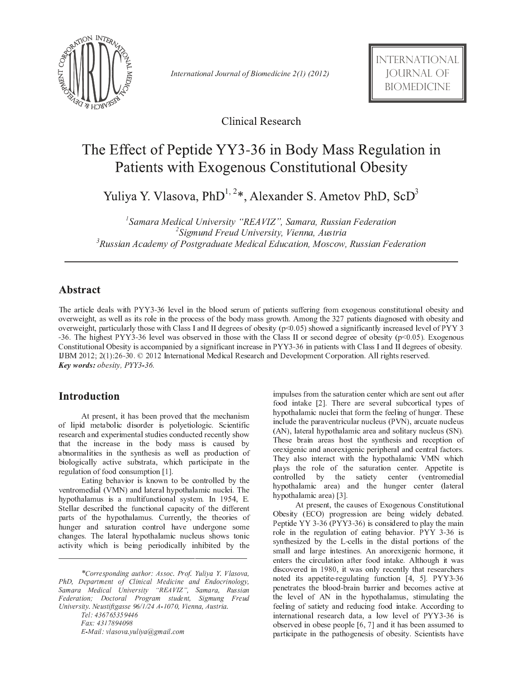

- - 

**Clinical Research** 

# The Effect of Peptide YY3-36 in Body Mass Regulation in Patients with Exogenous Constitutional Obesity

Yuliya Y. Vlasova, PhD<sup>1, 2\*</sup>, Alexander S. Ametov PhD, ScD<sup>3</sup>

 $^1$ Samara Medical University "REAVIZ". Samara, Russian Federatio.  $\mu^2$ Sigmund Freud University, Vienna, Austri  $^3$ Russian Academy of Postgraduate Medical Education, Moscow, Russian Federatio.

# **Abstract**

The article deals with PYY3-36 level in the blood serum of patients suffering from exogenous constitutional obesity and overweight, as well as its role in the process of the body mass growth. Among the 327 patients diagnosed with obesity and overweight, particularly those with Class I and II degrees of obesity  $(p<0.05)$  showed a significantly increased level of PYY 3 -36. The highest PYY3-36 level was observed in those with the Class II or second degree of obesity ( $p<0.05$ ). Exogenous Constitutional Obesity is accompanied by a significant increase in PYY3-36 in patients with Class I and II degrees of obesity.  $I J B M 2012; 2(1):26-30.$  © 2012 International Medical Research and Development Corporation. All rights reserved. <sup>o</sup> <sup>p</sup> <sup>q</sup> <sup>r</sup> <sup>s</sup> <sup>t</sup> <sup>u</sup> <sup>v</sup> <sup>w</sup> <sup>x</sup> <sup>y</sup> - z { <sup>|</sup> } } <sup>~</sup> <sup>~</sup>

# **Introduction**

At present, it has been proved that the mechanism of lipid metabolic disorder is polyetiologic. Scientific research and experimental studies conducted recently show that the increase in the body mass is caused by abnormalities in the synthesis as well as production of biologically active substrata, which participate in the regulation of food consumption [1].

Eating behavior is known to be controlled by the ventromedial (VMN) and lateral hypothalamic nuclei. The hypothalamus is a multifunctional system. In 1954, E. Stellar described the functional capacity of the different parts of the hypothalamus. Currently, the theories of hunger and saturation control have undergone some changes. The lateral hypothalamic nucleus shows tonic activity which is being periodically inhibited by the

<sup>½</sup> ¡ <sup>¹</sup> <sup>¾</sup> <sup>µ</sup> <sup>¼</sup> <sup>µ</sup> ¿ <sup>¾</sup> ¿ ´ <sup>¹</sup> <sup>¹</sup> <sup>µ</sup> <sup>±</sup> <sup>À</sup> <sup>¹</sup> <sup>¾</sup> · <sup>¼</sup> <sup>Á</sup> ´ <sup>¹</sup> » ´ <sup>Á</sup>  $E$ -Mail: vlasova vuliya@gmail.com impulses from the saturation center which are sent out after food intake [2]. There are several subcortical types of hypothalamic nuclei that form the feeling of hunger. These include the paraventricular nucleus (PVN), arcuate nucleus (AN), lateral hypothalamic area and solitary nucleus (SN). These brain areas host the synthesis and reception of orexigenic and anorexigenic peripheral and central factors. They also interact with the hypothalamic VMN which plays the role of the saturation center. Appetite is controlled by the satiety center (ventromedial hypothalamic area) and the hunger center (lateral hypothalamic area) [3].

At present, the causes of Exogenous Constitutional Obesity (ECO) progression are being widely debated. Peptide YY 3-36 (PYY3-36) is considered to play the main role in the regulation of eating behavior. PYY 3-36 is synthesized by the L-cells in the distal portions of the small and large intestines. An anorexigenic hormone, it enters the circulation after food intake. Although it was discovered in 1980, it was only recently that researchers noted its appetite-regulating function [4, 5]. PYY3-36 penetrates the blood-brain barrier and becomes active at the level of AN in the hypothalamus, stimulating the feeling of satiety and reducing food intake. According to international research data, a low level of PYY3-36 is observed in obese people  $[6, 7]$  and it has been assumed to participate in the pathogenesis of obesity. Scientists have

<sup>\*</sup>Corresponding author: Assoc. Prof. Yuliya Y. Vlasova, <sup>ª</sup> § ¨ ¡ « ¤ ¢ <sup>¬</sup> © £ ® ¯ ° ¥ <sup>ª</sup> § ¥ <sup>±</sup> <sup>²</sup> ¦ ¡ § ¥ <sup>ª</sup> § <sup>±</sup> University. Neustiftgasse 96/1/24 A-1070, Vienna, Austria.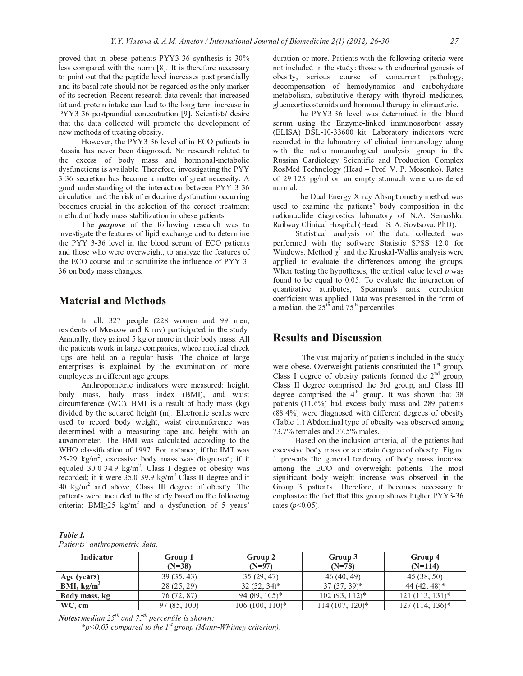proved that in obese patients PYY3-36 synthesis is 30% less compared with the norm [8]. It is therefore necessary to point out that the peptide level increases post prandially and its basal rate should not be regarded as the only marker of its secretion. Recent research data reveals that increased fat and protein intake can lead to the long-term increase in PYY3-36 postprandial concentration [9]. Scientists' desire that the data collected will promote the development of new methods of treating obesity.

However, the PYY3-36 level of in ECO patients in Russia has never been diagnosed. No research related to the excess of body mass and hormonal-metabolic dysfunctions is available. Therefore, investigating the PYY 3-36 secretion has become a matter of great necessity. A good understanding of the interaction between PYY 3-36 circulation and the risk of endocrine dysfunction occurring becomes crucial in the selection of the correct treatment method of body mass stabilization in obese patients.

The *purpose* of the following research was to investigate the features of lipid exchange and to determine the PYY 3-36 level in the blood serum of ECO patients and those who were overweight, to analyze the features of the ECO course and to scrutinize the influence of PYY 3-36 on body mass changes.

## **Material and Methods**

In all, 327 people (228 women and 99 men, residents of Moscow and Kirov) participated in the study. Annually, they gained 5 kg or more in their body mass. All the patients work in large companies, where medical check -ups are held on a regular basis. The choice of large enterprises is explained by the examination of more employees in different age groups.

Anthropometric indicators were measured: height, body mass, body mass index (BMI), and waist circumference (WC). BMI is a result of body mass  $(kg)$ divided by the squared height (m). Electronic scales were used to record body weight, waist circumference was determined with a measuring tape and height with an auxanometer. The BMI was calculated according to the WHO classification of 1997. For instance, if the IMT was 25-29  $\text{kg/m}^2$ , excessive body mass was diagnosed; if it equaled  $30.0-34.9 \text{ kg/m}^2$ , Class I degree of obesity was recorded; if it were 35.0-39.9 kg/m<sup>2</sup> Class II degree and if 40  $\text{kg/m}^2$  and above, Class III degree of obesity. The patients were included in the study based on the following criteria: BMI $\geq$ 25 kg/m<sup>2</sup> and a dysfunction of 5 years'

duration or more. Patients with the following criteria were not included in the study: those with endocrinal genesis of obesity, serious course of concurrent pathology, decompensation of hemodynamics and carbohydrate metabolism, substitutive therapy with thyroid medicines, glucocorticosteroids and hormonal therapy in climacteric.

The PYY3-36 level was determined in the blood serum using the Enzyme-linked immunosorbent assay (ELISA) DSL-10-33600 kit. Laboratory indicators were recorded in the laboratory of clinical immunology along with the radio-immunological analysis group in the Russian Cardiology Scientific and Production Complex RosMed Technology (Head - Prof. V. P. Mosenko). Rates of 29-125 pg/ml on an empty stomach were considered normal.

The Dual Energy X-ray Absoptiometry method was used to examine the patients' body composition in the radionuclide diagnostics laboratory of N.A. Semashko Railway Clinical Hospital (Head - S. A. Sovtsova, PhD).

Statistical analysis of the data collected was performed with the software Statistic SPSS 12.0 for Windows. Method  $\chi^2$  and the Kruskal-Wallis analysis were applied to evaluate the differences among the groups. When testing the hypotheses, the critical value level  $p$  was found to be equal to 0.05. To evaluate the interaction of quantitative attributes, Spearman's rank correlation coefficient was applied. Data was presented in the form of a median, the  $25<sup>th</sup>$  and  $75<sup>th</sup>$  percentiles.

### **Results and Discussion**

The vast majority of patients included in the study were obese. Overweight patients constituted the 1<sup>st</sup> group, Class I degree of obesity patients formed the  $2<sup>nd</sup>$  group, Class II degree comprised the 3rd group, and Class III degree comprised the  $4<sup>th</sup>$  group. It was shown that 38 patients (11.6%) had excess body mass and 289 patients (88.4%) were diagnosed with different degrees of obesity (Table 1.) Abdominal type of obesity was observed among 73.7% females and 37.5% males.

Based on the inclusion criteria, all the patients had excessive body mass or a certain degree of obesity. Figure 1 presents the general tendency of body mass increase among the ECO and overweight patients. The most significant body weight increase was observed in the Group 3 patients. Therefore, it becomes necessary to emphasize the fact that this group shows higher PYY3-36 rates  $(p<0.05)$ .

| Table 1.                       |  |
|--------------------------------|--|
| Patients' anthropometric data. |  |

| Indicator     | Group 1<br>$(N=38)$ | Group 2<br>$(N=97)$ | Group 3<br>$(N=78)$ | Group 4<br>$(N=114)$ |
|---------------|---------------------|---------------------|---------------------|----------------------|
| Age (years)   | 39(35, 43)          | 35(29, 47)          | 46(40, 49)          | 45(38, 50)           |
| BMI, $kg/m2$  | 28(25, 29)          | $32(32, 34)^*$      | $37(37, 39)^*$      | $44(42, 48)^*$       |
| Body mass, kg | 76 (72, 87)         | $94(89, 105)^*$     | $102(93, 112)*$     | $121(113, 131)^*$    |
| WC, cm        | 97(85, 100)         | $106(100, 110)^*$   | $114(107, 120)^*$   | $127(114, 136)^*$    |

**Notes:** median  $25^{th}$  and  $75^{th}$  percentile is shown;

\*p<0.05 compared to the  $1^{st}$  group (Mann-Whitney criterion).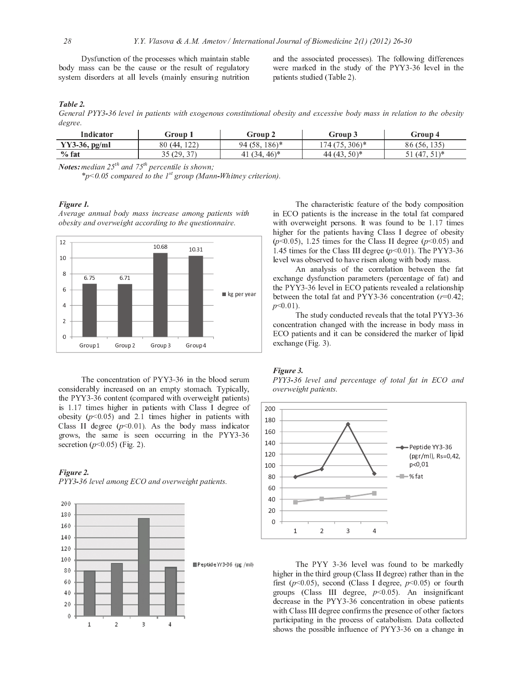Dysfunction of the processes which maintain stable body mass can be the cause or the result of regulatory system disorders at all levels (mainly ensuring nutrition

and the associated processes). The following differences were marked in the study of the PYY3-36 level in the patients studied (Table 2).

#### Table 2.

General PYY3-36 level in patients with exogenous constitutional obesity and excessive body mass in relation to the obesity degree.

| Indicator        | Group 1                               | Group 2          | Group 3                | Group 4                     |
|------------------|---------------------------------------|------------------|------------------------|-----------------------------|
| $YY3-36$ , pg/ml | וררו<br>80<br>(44,<br>---             | 186)*<br>94 (58, | $306$ <sup>*</sup><br> | 135<br>86<br>56.135         |
| $\%$ fat         | $\gamma$<br>35 (20)<br>ر د ريد<br>--- | $(46)^*$<br>41   | $(50)^*$<br>(43)<br>44 | $51$ $*$<br>14 <sup>7</sup> |
|                  |                                       |                  |                        |                             |

**Notes:** median 25<sup>th</sup> and 75<sup>th</sup> percentile is shown:

\*p<0.05 compared to the  $1^{st}$  group (Mann-Whitney criterion).

#### Figure 1.

Average annual body mass increase among patients with obesity and overweight according to the questionnaire.



The concentration of PYY3-36 in the blood serum considerably increased on an empty stomach. Typically, the PYY3-36 content (compared with overweight patients) is 1.17 times higher in patients with Class I degree of obesity  $(p<0.05)$  and 2.1 times higher in patients with Class II degree  $(p<0.01)$ . As the body mass indicator grows, the same is seen occurring in the PYY3-36 secretion ( $p$ <0.05) (Fig. 2).

# Figure 2.

PYY3-36 level among ECO and overweight patients.



The characteristic feature of the body composition in ECO patients is the increase in the total fat compared with overweight persons. It was found to be 1.17 times higher for the patients having Class I degree of obesity  $(p<0.05)$ , 1.25 times for the Class II degree  $(p<0.05)$  and 1.45 times for the Class III degree  $(p<0.01)$ . The PYY3-36 level was observed to have risen along with body mass.

An analysis of the correlation between the fat exchange dysfunction parameters (percentage of fat) and the PYY3-36 level in ECO patients revealed a relationship between the total fat and PYY3-36 concentration  $(r=0.42)$ ;  $p<0.01$ )

The study conducted reveals that the total PYY3-36 concentration changed with the increase in body mass in ECO patients and it can be considered the marker of lipid exchange (Fig. 3).

#### Figure 3.

PYY3-36 level and percentage of total fat in ECO and overweight patients.



The PYY 3-36 level was found to be markedly higher in the third group (Class II degree) rather than in the first ( $p<0.05$ ), second (Class I degree,  $p<0.05$ ) or fourth groups (Class III degree,  $p<0.05$ ). An insignificant decrease in the PYY3-36 concentration in obese patients with Class III degree confirms the presence of other factors participating in the process of catabolism. Data collected shows the possible influence of PYY3-36 on a change in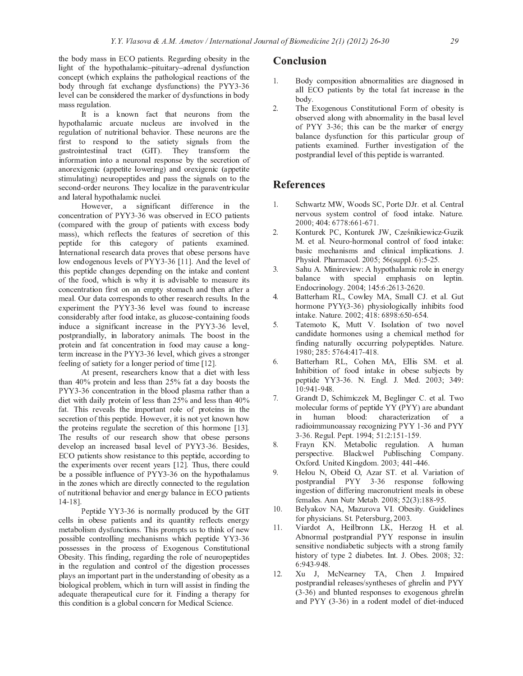the body mass in ECO patients. Regarding obesity in the light of the hypothalamic-pituitary-adrenal dysfunction concept (which explains the pathological reactions of the body through fat exchange dysfunctions) the PYY3-36 level can be considered the marker of dysfunctions in body mass regulation.

It is a known fact that neurons from the hypothalamic arcuate nucleus are involved in the regulation of nutritional behavior. These neurons are the first to respond to the satiety signals from the gastrointestinal tract (GIT). They transform the information into a neuronal response by the secretion of anorexigenic (appetite lowering) and orexigenic (appetite stimulating) neuropeptides and pass the signals on to the second-order neurons. They localize in the paraventricular and lateral hypothalamic nuclei.

However, a significant difference in the concentration of PYY3-36 was observed in ECO patients (compared with the group of patients with excess body mass), which reflects the features of secretion of this peptide for this category of patients examined. International research data proves that obese persons have low endogenous levels of PYY3-36 [11]. And the level of this peptide changes depending on the intake and content of the food, which is why it is advisable to measure its concentration first on an empty stomach and then after a meal. Our data corresponds to other research results. In the experiment the PYY3-36 level was found to increase considerably after food intake, as glucose-containing foods induce a significant increase in the PYY3-36 level, postprandially, in laboratory animals. The boost in the protein and fat concentration in food may cause a longterm increase in the PYY3-36 level, which gives a stronger feeling of satiety for a longer period of time [12].

At present, researchers know that a diet with less than 40% protein and less than 25% fat a day boosts the PYY3-36 concentration in the blood plasma rather than a diet with daily protein of less than 25% and less than 40% fat. This reveals the important role of proteins in the secretion of this peptide. However, it is not yet known how the proteins regulate the secretion of this hormone [13]. The results of our research show that obese persons develop an increased basal level of PYY3-36. Besides, ECO patients show resistance to this peptide, according to the experiments over recent years [12]. Thus, there could be a possible influence of PYY3-36 on the hypothalamus in the zones which are directly connected to the regulation of nutritional behavior and energy balance in ECO patients  $14 - 18$ ]

Peptide YY3-36 is normally produced by the GIT cells in obese patients and its quantity reflects energy metabolism dysfunctions. This prompts us to think of new possible controlling mechanisms which peptide YY3-36 possesses in the process of Exogenous Constitutional Obesity. This finding, regarding the role of neuropeptides in the regulation and control of the digestion processes plays an important part in the understanding of obesity as a biological problem, which in turn will assist in finding the adequate therapeutical cure for it. Finding a therapy for this condition is a global concern for Medical Science.

### **Conclusion**

- 1. Body composition abnormalities are diagnosed in all ECO patients by the total fat increase in the body.
- $\mathcal{D}$ The Exogenous Constitutional Form of obesity is observed along with abnormality in the basal level of PYY 3-36; this can be the marker of energy balance dysfunction for this particular group of patients examined. Further investigation of the postprandial level of this peptide is warranted.

# **References**

- Schwartz MW, Woods SC, Porte DJr. et al. Central  $\mathbf{1}$ nervous system control of food intake. Nature. 2000; 404: 6778:661-671
- $2.$ Konturek PC, Konturek JW, Cześnikiewicz-Guzik M. et al. Neuro-hormonal control of food intake: basic mechanisms and clinical implications. J. Physiol. Pharmacol. 2005; 56(suppl. 6):5-25.
- Sahu A. Minireview: A hypothalamic role in energy  $\mathcal{L}$ balance with special emphasis on leptin. Endocrinology. 2004; 145:6:2613-2620.
- Batterham RL, Cowley MA, Small CJ. et al. Gut  $\overline{4}$ . hormone PYY(3-36) physiologically inhibits food intake. Nature. 2002; 418: 6898:650-654.
- Tatemoto K, Mutt V. Isolation of two novel 5. candidate hormones using a chemical method for finding naturally occurring polypeptides. Nature. 1980; 285: 5764:417-418.
- 6. Batterham RL, Cohen MA, Ellis SM. et al. Inhibition of food intake in obese subjects by peptide YY3 36. N. Engl. J. Med. 2003; 349: 10:941-948.
- 7. Grandt D, Schimiczek M, Beglinger C. et al. Two molecular forms of peptide YY (PYY) are abundant human blood: characterization  $in$  $of$  a radioimmunoassay recognizing PYY 1-36 and PYY 3-36. Regul. Pept. 1994; 51:2:151-159.
- $\mathbf{R}$ Frayn KN. Metabolic regulation. A human perspective. Blackwel Publisching Company. Oxford. United Kingdom. 2003; 441-446.
- Helou N, Obeid O, Azar ST. et al. Variation of 9 postprandial PYY 3-36 response following ingestion of differing macronutrient meals in obese females. Ann Nutr Metab. 2008; 52(3):188-95.
- $10.$ Belyakov NA, Mazurova VI. Obesity. Guidelines for physicians. St. Petersburg, 2003.
- $11.$ Viardot A, Heilbronn LK, Herzog H. et al. Abnormal postprandial PYY response in insulin sensitive nondiabetic subjects with a strong family history of type 2 diabetes. Int. J. Obes. 2008; 32: 6:943-948.
- Xu J, McNearney TA, Chen J. Impaired  $12<sup>7</sup>$ postprandial releases/syntheses of ghrelin and PYY (3-36) and blunted responses to exogenous ghrelin and PYY (3-36) in a rodent model of diet-induced